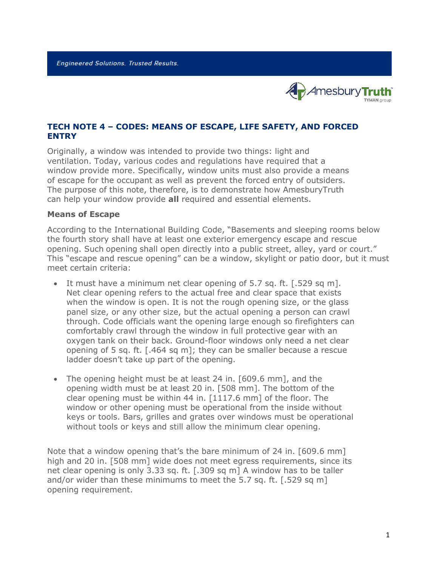

## **TECH NOTE 4 – CODES: MEANS OF ESCAPE, LIFE SAFETY, AND FORCED ENTRY**

Originally, a window was intended to provide two things: light and ventilation. Today, various codes and regulations have required that a window provide more. Specifically, window units must also provide a means of escape for the occupant as well as prevent the forced entry of outsiders. The purpose of this note, therefore, is to demonstrate how AmesburyTruth can help your window provide **all** required and essential elements.

## **Means of Escape**

According to the International Building Code, "Basements and sleeping rooms below the fourth story shall have at least one exterior emergency escape and rescue opening. Such opening shall open directly into a public street, alley, yard or court." This "escape and rescue opening" can be a window, skylight or patio door, but it must meet certain criteria:

- It must have a minimum net clear opening of 5.7 sq. ft. [.529 sq m]. Net clear opening refers to the actual free and clear space that exists when the window is open. It is not the rough opening size, or the glass panel size, or any other size, but the actual opening a person can crawl through. Code officials want the opening large enough so firefighters can comfortably crawl through the window in full protective gear with an oxygen tank on their back. Ground-floor windows only need a net clear opening of 5 sq. ft. [.464 sq m]; they can be smaller because a rescue ladder doesn't take up part of the opening.
- The opening height must be at least 24 in. [609.6 mm], and the opening width must be at least 20 in. [508 mm]. The bottom of the clear opening must be within 44 in. [1117.6 mm] of the floor. The window or other opening must be operational from the inside without keys or tools. Bars, grilles and grates over windows must be operational without tools or keys and still allow the minimum clear opening.

Note that a window opening that's the bare minimum of 24 in. [609.6 mm] high and 20 in. [508 mm] wide does not meet egress requirements, since its net clear opening is only 3.33 sq. ft. [.309 sq m] A window has to be taller and/or wider than these minimums to meet the 5.7 sq. ft. [.529 sq m] opening requirement.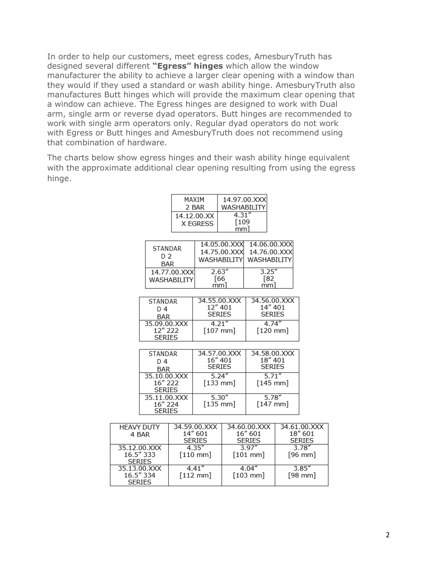In order to help our customers, meet egress codes, AmesburyTruth has designed several different **"Egress" hinges** which allow the window manufacturer the ability to achieve a larger clear opening with a window than they would if they used a standard or wash ability hinge. AmesburyTruth also manufactures Butt hinges which will provide the maximum clear opening that a window can achieve. The Egress hinges are designed to work with Dual arm, single arm or reverse dyad operators. Butt hinges are recommended to work with single arm operators only. Regular dyad operators do not work with Egress or Butt hinges and AmesburyTruth does not recommend using that combination of hardware.

The charts below show egress hinges and their wash ability hinge equivalent with the approximate additional clear opening resulting from using the egress hinge.

|                        | MAXIM                 |              |                         |                 | 14.97.00.XXX            |  |
|------------------------|-----------------------|--------------|-------------------------|-----------------|-------------------------|--|
|                        |                       |              | 2 BAR<br>WASHABILITY    |                 |                         |  |
|                        | 14.12.00.XX           |              |                         | 4.31''<br>[109] |                         |  |
|                        |                       |              | X EGRESS                | mm]             |                         |  |
|                        |                       |              |                         |                 |                         |  |
|                        | STANDAR<br>D 2<br>BAR |              | 14.05.00.XXX            |                 | 14.06.00.XXX            |  |
|                        |                       |              | 14.75.00.XXX            |                 | 14.76.00.XXX            |  |
|                        |                       |              | WASHABILITY             |                 | WASHABILITY             |  |
|                        | 14.77.00.XXX          |              | 2.63''                  |                 | 3.25''                  |  |
|                        | WASHABILITY           |              | [66                     |                 | [82                     |  |
|                        |                       |              | mm1                     |                 | mm1                     |  |
|                        |                       |              |                         |                 |                         |  |
| STANDAR                |                       |              | 34.55.00.XXX<br>12" 401 |                 | 34.56.00.XXX<br>14" 401 |  |
| D 4                    |                       |              | <b>SERIES</b>           |                 | <b>SERIES</b>           |  |
| BAR<br>35.09.00.XXX    |                       |              | 4.21''                  |                 | 4.74''                  |  |
| 12" 222                |                       |              | $[107$ mm $]$           |                 | $[120$ mm]              |  |
| <b>SERIES</b>          |                       |              |                         |                 |                         |  |
|                        |                       |              |                         |                 |                         |  |
| STANDAR                |                       |              | 34.57.00.XXX            |                 | 34.58.00.XXX            |  |
| D 4                    |                       |              | 16" 401                 |                 | 18" 401                 |  |
| BAR                    |                       |              | <b>SERIES</b>           |                 | <b>SERIES</b>           |  |
| 35.10.00.XXX           |                       | 5.24''       |                         | 5.71''          |                         |  |
| 16" 222                |                       |              | $[133 \text{ mm}]$      |                 | $[145 \text{ mm}]$      |  |
| SERIES<br>35.11.00.XXX |                       | 5.30''       |                         | 5.78''          |                         |  |
| 16" 224                |                       | $[135$ mm]   |                         | $[147$ mm]      |                         |  |
| <b>SERIES</b>          |                       |              |                         |                 |                         |  |
|                        |                       |              |                         |                 |                         |  |
| DUTY                   |                       | 34.59.00.XXX |                         | 34.60.00.XXX    | 34.61                   |  |
|                        | ۹R                    |              | 14" 601                 |                 | 16" 601<br>18           |  |

| <b>HEAVY DUTY</b> | 34.59.00.XXX       | 34.60.00.XXX  | 34.61.00.XXX  |
|-------------------|--------------------|---------------|---------------|
| 4 BAR             | 14" 601            | 16" 601       | 18" 601       |
|                   | <b>SERIES</b>      | <b>SERIES</b> | <b>SERIES</b> |
| 35.12.00.XXX      | 4.35''             | 3.97''        | 3.78"         |
| 16.5" 333         | $[110$ mm]         | $[101$ mm]    | $[96$ mm]     |
| <b>SERIES</b>     |                    |               |               |
| 35.13.00.XXX      | 4.41''             | 4.04''        | 3.85''        |
| 16.5" 334         | $[112 \text{ mm}]$ | $[103$ mm]    | $[98$ mm]     |
| <b>SERIES</b>     |                    |               |               |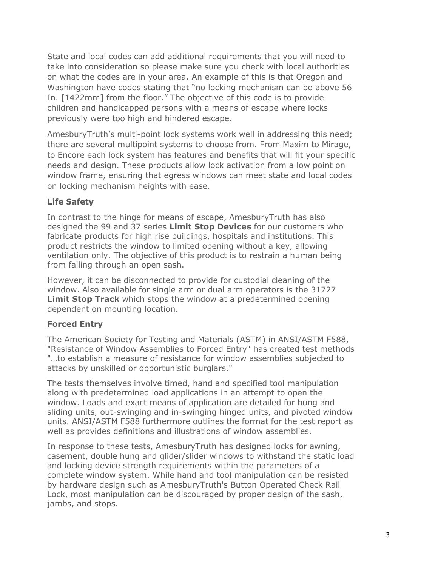State and local codes can add additional requirements that you will need to take into consideration so please make sure you check with local authorities on what the codes are in your area. An example of this is that Oregon and Washington have codes stating that "no locking mechanism can be above 56 In. [1422mm] from the floor." The objective of this code is to provide children and handicapped persons with a means of escape where locks previously were too high and hindered escape.

AmesburyTruth's multi-point lock systems work well in addressing this need; there are several multipoint systems to choose from. From Maxim to Mirage, to Encore each lock system has features and benefits that will fit your specific needs and design. These products allow lock activation from a low point on window frame, ensuring that egress windows can meet state and local codes on locking mechanism heights with ease.

## **Life Safety**

In contrast to the hinge for means of escape, AmesburyTruth has also designed the 99 and 37 series **Limit Stop Devices** for our customers who fabricate products for high rise buildings, hospitals and institutions. This product restricts the window to limited opening without a key, allowing ventilation only. The objective of this product is to restrain a human being from falling through an open sash.

However, it can be disconnected to provide for custodial cleaning of the window. Also available for single arm or dual arm operators is the 31727 **Limit Stop Track** which stops the window at a predetermined opening dependent on mounting location.

## **Forced Entry**

The American Society for Testing and Materials (ASTM) in ANSI/ASTM F588, "Resistance of Window Assemblies to Forced Entry" has created test methods "…to establish a measure of resistance for window assemblies subjected to attacks by unskilled or opportunistic burglars."

The tests themselves involve timed, hand and specified tool manipulation along with predetermined load applications in an attempt to open the window. Loads and exact means of application are detailed for hung and sliding units, out-swinging and in-swinging hinged units, and pivoted window units. ANSI/ASTM F588 furthermore outlines the format for the test report as well as provides definitions and illustrations of window assemblies.

In response to these tests, AmesburyTruth has designed locks for awning, casement, double hung and glider/slider windows to withstand the static load and locking device strength requirements within the parameters of a complete window system. While hand and tool manipulation can be resisted by hardware design such as AmesburyTruth's Button Operated Check Rail Lock, most manipulation can be discouraged by proper design of the sash, jambs, and stops.